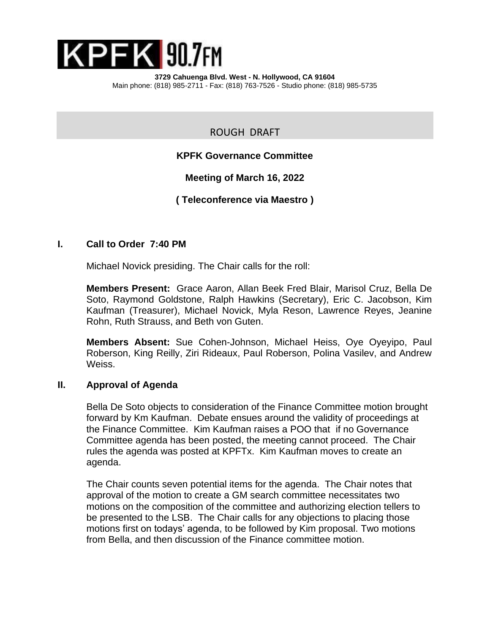

ROUGH DRAFT

# **KPFK Governance Committee**

**Meeting of March 16, 2022**

**( Teleconference via Maestro )**

# **I. Call to Order 7:40 PM**

Michael Novick presiding. The Chair calls for the roll:

**Members Present:** Grace Aaron, Allan Beek Fred Blair, Marisol Cruz, Bella De Soto, Raymond Goldstone, Ralph Hawkins (Secretary), Eric C. Jacobson, Kim Kaufman (Treasurer), Michael Novick, Myla Reson, Lawrence Reyes, Jeanine Rohn, Ruth Strauss, and Beth von Guten.

**Members Absent:** Sue Cohen-Johnson, Michael Heiss, Oye Oyeyipo, Paul Roberson, King Reilly, Ziri Rideaux, Paul Roberson, Polina Vasilev, and Andrew Weiss.

#### **II. Approval of Agenda**

Bella De Soto objects to consideration of the Finance Committee motion brought forward by Km Kaufman. Debate ensues around the validity of proceedings at the Finance Committee. Kim Kaufman raises a POO that if no Governance Committee agenda has been posted, the meeting cannot proceed. The Chair rules the agenda was posted at KPFTx. Kim Kaufman moves to create an agenda.

The Chair counts seven potential items for the agenda. The Chair notes that approval of the motion to create a GM search committee necessitates two motions on the composition of the committee and authorizing election tellers to be presented to the LSB. The Chair calls for any objections to placing those motions first on todays' agenda, to be followed by Kim proposal. Two motions from Bella, and then discussion of the Finance committee motion.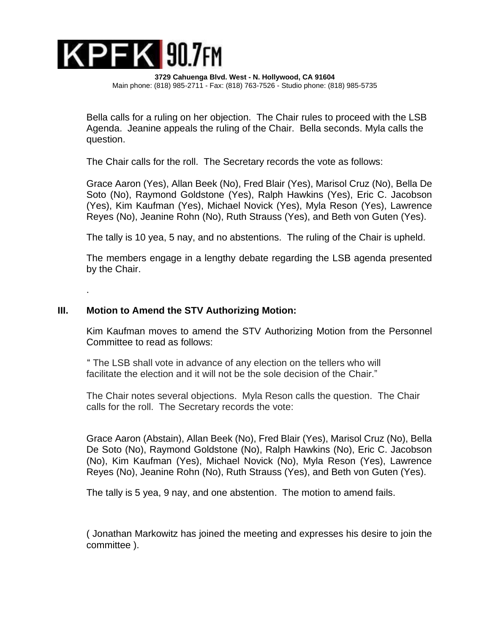

Bella calls for a ruling on her objection. The Chair rules to proceed with the LSB Agenda. Jeanine appeals the ruling of the Chair. Bella seconds. Myla calls the question.

The Chair calls for the roll. The Secretary records the vote as follows:

Grace Aaron (Yes), Allan Beek (No), Fred Blair (Yes), Marisol Cruz (No), Bella De Soto (No), Raymond Goldstone (Yes), Ralph Hawkins (Yes), Eric C. Jacobson (Yes), Kim Kaufman (Yes), Michael Novick (Yes), Myla Reson (Yes), Lawrence Reyes (No), Jeanine Rohn (No), Ruth Strauss (Yes), and Beth von Guten (Yes).

The tally is 10 yea, 5 nay, and no abstentions. The ruling of the Chair is upheld.

The members engage in a lengthy debate regarding the LSB agenda presented by the Chair.

## **III. Motion to Amend the STV Authorizing Motion:**

.

Kim Kaufman moves to amend the STV Authorizing Motion from the Personnel Committee to read as follows:

 " The LSB shall vote in advance of any election on the tellers who will facilitate the election and it will not be the sole decision of the Chair."

The Chair notes several objections. Myla Reson calls the question. The Chair calls for the roll. The Secretary records the vote:

Grace Aaron (Abstain), Allan Beek (No), Fred Blair (Yes), Marisol Cruz (No), Bella De Soto (No), Raymond Goldstone (No), Ralph Hawkins (No), Eric C. Jacobson (No), Kim Kaufman (Yes), Michael Novick (No), Myla Reson (Yes), Lawrence Reyes (No), Jeanine Rohn (No), Ruth Strauss (Yes), and Beth von Guten (Yes).

The tally is 5 yea, 9 nay, and one abstention. The motion to amend fails.

( Jonathan Markowitz has joined the meeting and expresses his desire to join the committee ).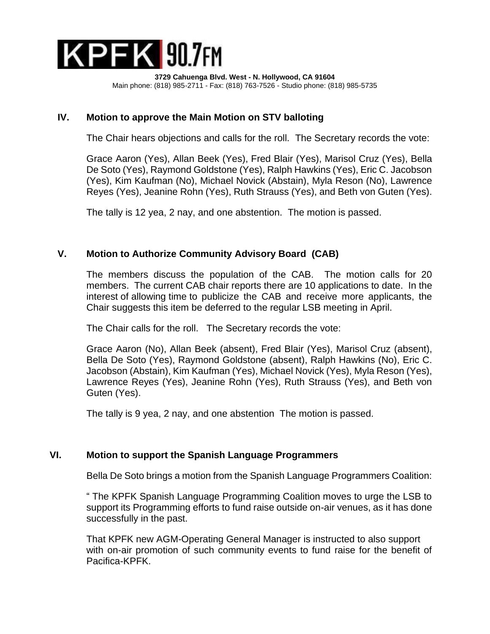

## **IV. Motion to approve the Main Motion on STV balloting**

The Chair hears objections and calls for the roll. The Secretary records the vote:

Grace Aaron (Yes), Allan Beek (Yes), Fred Blair (Yes), Marisol Cruz (Yes), Bella De Soto (Yes), Raymond Goldstone (Yes), Ralph Hawkins (Yes), Eric C. Jacobson (Yes), Kim Kaufman (No), Michael Novick (Abstain), Myla Reson (No), Lawrence Reyes (Yes), Jeanine Rohn (Yes), Ruth Strauss (Yes), and Beth von Guten (Yes).

The tally is 12 yea, 2 nay, and one abstention. The motion is passed.

## **V. Motion to Authorize Community Advisory Board (CAB)**

The members discuss the population of the CAB. The motion calls for 20 members. The current CAB chair reports there are 10 applications to date. In the interest of allowing time to publicize the CAB and receive more applicants, the Chair suggests this item be deferred to the regular LSB meeting in April.

The Chair calls for the roll. The Secretary records the vote:

Grace Aaron (No), Allan Beek (absent), Fred Blair (Yes), Marisol Cruz (absent), Bella De Soto (Yes), Raymond Goldstone (absent), Ralph Hawkins (No), Eric C. Jacobson (Abstain), Kim Kaufman (Yes), Michael Novick (Yes), Myla Reson (Yes), Lawrence Reyes (Yes), Jeanine Rohn (Yes), Ruth Strauss (Yes), and Beth von Guten (Yes).

The tally is 9 yea, 2 nay, and one abstention The motion is passed.

#### **VI. Motion to support the Spanish Language Programmers**

Bella De Soto brings a motion from the Spanish Language Programmers Coalition:

" The KPFK Spanish Language Programming Coalition moves to urge the LSB to support its Programming efforts to fund raise outside on-air venues, as it has done successfully in the past.

That KPFK new AGM-Operating General Manager is instructed to also support with on-air promotion of such community events to fund raise for the benefit of Pacifica-KPFK.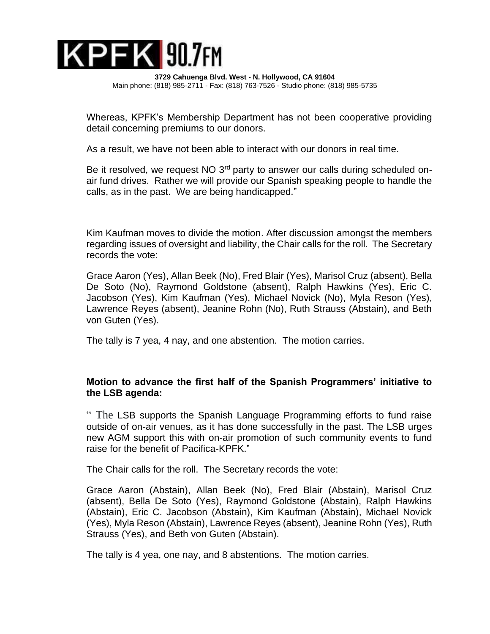

Whereas, KPFK's Membership Department has not been cooperative providing detail concerning premiums to our donors.

As a result, we have not been able to interact with our donors in real time.

Be it resolved, we request NO 3<sup>rd</sup> party to answer our calls during scheduled onair fund drives. Rather we will provide our Spanish speaking people to handle the calls, as in the past. We are being handicapped."

Kim Kaufman moves to divide the motion. After discussion amongst the members regarding issues of oversight and liability, the Chair calls for the roll. The Secretary records the vote:

Grace Aaron (Yes), Allan Beek (No), Fred Blair (Yes), Marisol Cruz (absent), Bella De Soto (No), Raymond Goldstone (absent), Ralph Hawkins (Yes), Eric C. Jacobson (Yes), Kim Kaufman (Yes), Michael Novick (No), Myla Reson (Yes), Lawrence Reyes (absent), Jeanine Rohn (No), Ruth Strauss (Abstain), and Beth von Guten (Yes).

The tally is 7 yea, 4 nay, and one abstention. The motion carries.

## **Motion to advance the first half of the Spanish Programmers' initiative to the LSB agenda:**

" The LSB supports the Spanish Language Programming efforts to fund raise outside of on-air venues, as it has done successfully in the past. The LSB urges new AGM support this with on-air promotion of such community events to fund raise for the benefit of Pacifica-KPFK."

The Chair calls for the roll. The Secretary records the vote:

Grace Aaron (Abstain), Allan Beek (No), Fred Blair (Abstain), Marisol Cruz (absent), Bella De Soto (Yes), Raymond Goldstone (Abstain), Ralph Hawkins (Abstain), Eric C. Jacobson (Abstain), Kim Kaufman (Abstain), Michael Novick (Yes), Myla Reson (Abstain), Lawrence Reyes (absent), Jeanine Rohn (Yes), Ruth Strauss (Yes), and Beth von Guten (Abstain).

The tally is 4 yea, one nay, and 8 abstentions. The motion carries.